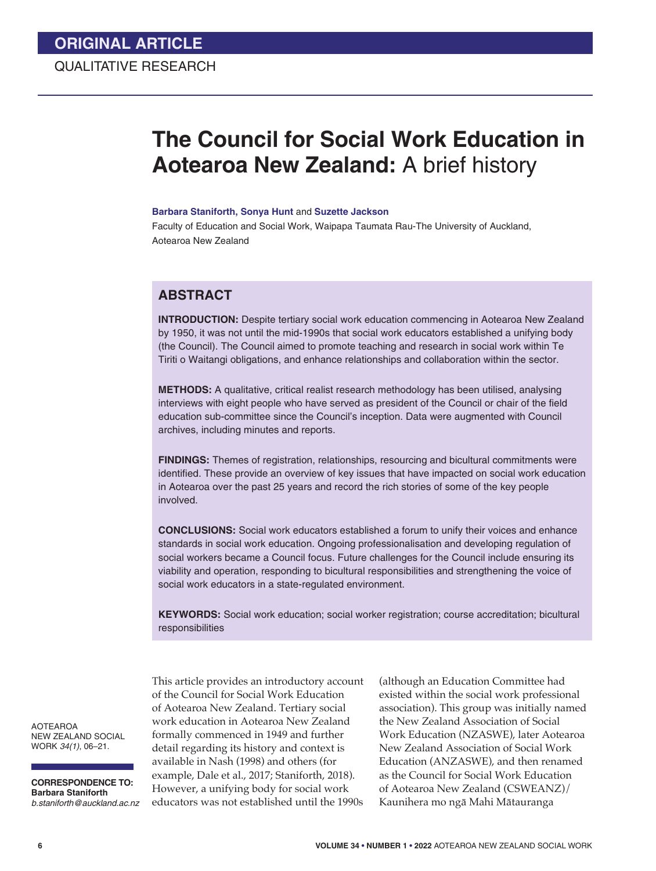# **The Council for Social Work Education in Aotearoa New Zealand:** A brief history

#### **Barbara Staniforth, Sonya Hunt** and **Suzette Jackson**

Faculty of Education and Social Work, Waipapa Taumata Rau-The University of Auckland, Aotearoa New Zealand

# **ABSTRACT**

**INTRODUCTION:** Despite tertiary social work education commencing in Aotearoa New Zealand by 1950, it was not until the mid-1990s that social work educators established a unifying body (the Council). The Council aimed to promote teaching and research in social work within Te Tiriti o Waitangi obligations, and enhance relationships and collaboration within the sector.

**METHODS:** A qualitative, critical realist research methodology has been utilised, analysing interviews with eight people who have served as president of the Council or chair of the field education sub-committee since the Council's inception. Data were augmented with Council archives, including minutes and reports.

**FINDINGS:** Themes of registration, relationships, resourcing and bicultural commitments were identified. These provide an overview of key issues that have impacted on social work education in Aotearoa over the past 25 years and record the rich stories of some of the key people involved.

**CONCLUSIONS:** Social work educators established a forum to unify their voices and enhance standards in social work education. Ongoing professionalisation and developing regulation of social workers became a Council focus. Future challenges for the Council include ensuring its viability and operation, responding to bicultural responsibilities and strengthening the voice of social work educators in a state-regulated environment.

**KEYWORDS:** Social work education; social worker registration; course accreditation; bicultural responsibilities

AOTEAROA NEW ZEALAND SOCIAL WORK *34(1)*, 06–21.

**CORRESPONDENCE TO: Barbara Staniforth** *b.staniforth@auckland.ac.nz*  This article provides an introductory account of the Council for Social Work Education of Aotearoa New Zealand. Tertiary social work education in Aotearoa New Zealand formally commenced in 1949 and further detail regarding its history and context is available in Nash (1998) and others (for example, Dale et al., 2017; Staniforth, 2018). However, a unifying body for social work educators was not established until the 1990s

(although an Education Committee had existed within the social work professional association). This group was initially named the New Zealand Association of Social Work Education (NZASWE), later Aotearoa New Zealand Association of Social Work Education (ANZASWE), and then renamed as the Council for Social Work Education of Aotearoa New Zealand (CSWEANZ)/ Kaunihera mo ngā Mahi Mātauranga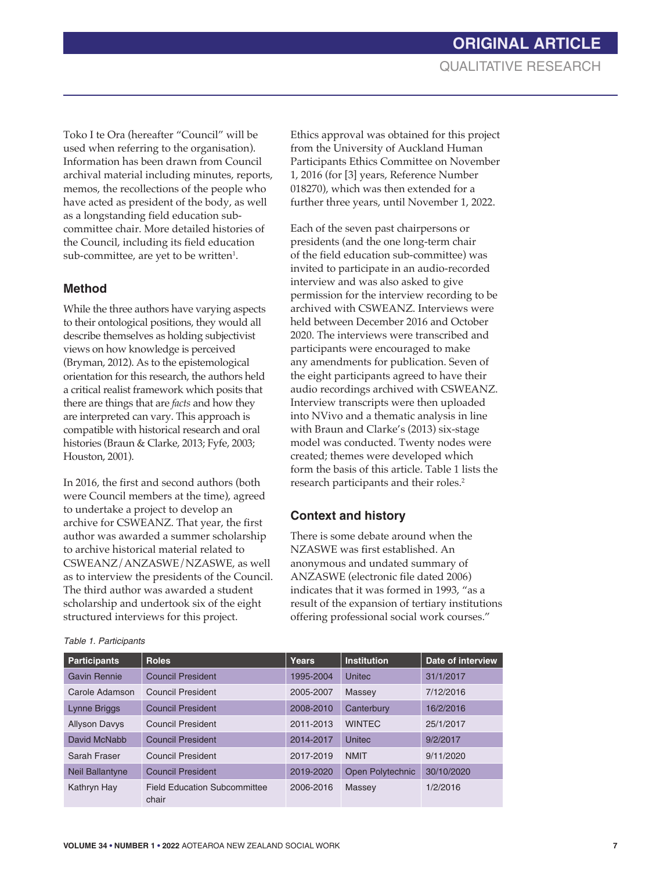Toko I te Ora (hereafter "Council" will be used when referring to the organisation). Information has been drawn from Council archival material including minutes, reports, memos, the recollections of the people who have acted as president of the body, as well as a longstanding field education subcommittee chair. More detailed histories of the Council, including its field education sub-committee, are yet to be written $^{1}$ .

### **Method**

While the three authors have varying aspects to their ontological positions, they would all describe themselves as holding subjectivist views on how knowledge is perceived (Bryman, 2012). As to the epistemological orientation for this research, the authors held a critical realist framework which posits that there are things that are *facts* and how they are interpreted can vary. This approach is compatible with historical research and oral histories (Braun & Clarke, 2013; Fyfe, 2003; Houston, 2001).

In 2016, the first and second authors (both were Council members at the time), agreed to undertake a project to develop an archive for CSWEANZ. That year, the first author was awarded a summer scholarship to archive historical material related to CSWEANZ/ANZASWE/NZASWE, as well as to interview the presidents of the Council. The third author was awarded a student scholarship and undertook six of the eight structured interviews for this project.

Ethics approval was obtained for this project from the University of Auckland Human Participants Ethics Committee on November 1, 2016 (for [3] years, Reference Number 018270), which was then extended for a further three years, until November 1, 2022.

Each of the seven past chairpersons or presidents (and the one long-term chair of the field education sub-committee) was invited to participate in an audio-recorded interview and was also asked to give permission for the interview recording to be archived with CSWEANZ. Interviews were held between December 2016 and October 2020. The interviews were transcribed and participants were encouraged to make any amendments for publication. Seven of the eight participants agreed to have their audio recordings archived with CSWEANZ. Interview transcripts were then uploaded into NVivo and a thematic analysis in line with Braun and Clarke's (2013) six-stage model was conducted. Twenty nodes were created; themes were developed which form the basis of this article. Table 1 lists the research participants and their roles.2

## **Context and history**

There is some debate around when the NZASWE was first established. An anonymous and undated summary of ANZASWE (electronic file dated 2006) indicates that it was formed in 1993, "as a result of the expansion of tertiary institutions offering professional social work courses."

| <b>Participants</b>    | <b>Roles</b>                                 | Years     | <b>Institution</b> | Date of interview |
|------------------------|----------------------------------------------|-----------|--------------------|-------------------|
| Gavin Rennie           | <b>Council President</b>                     | 1995-2004 | <b>Unitec</b>      | 31/1/2017         |
| Carole Adamson         | <b>Council President</b>                     | 2005-2007 | Massey             | 7/12/2016         |
| Lynne Briggs           | <b>Council President</b>                     | 2008-2010 | Canterbury         | 16/2/2016         |
| <b>Allyson Davys</b>   | <b>Council President</b>                     | 2011-2013 | <b>WINTEC</b>      | 25/1/2017         |
| David McNabb           | <b>Council President</b>                     | 2014-2017 | <b>Unitec</b>      | 9/2/2017          |
| Sarah Fraser           | <b>Council President</b>                     | 2017-2019 | <b>NMIT</b>        | 9/11/2020         |
| <b>Neil Ballantyne</b> | <b>Council President</b>                     | 2019-2020 | Open Polytechnic   | 30/10/2020        |
| Kathryn Hay            | <b>Field Education Subcommittee</b><br>chair | 2006-2016 | Massey             | 1/2/2016          |

#### *Table 1. Participants*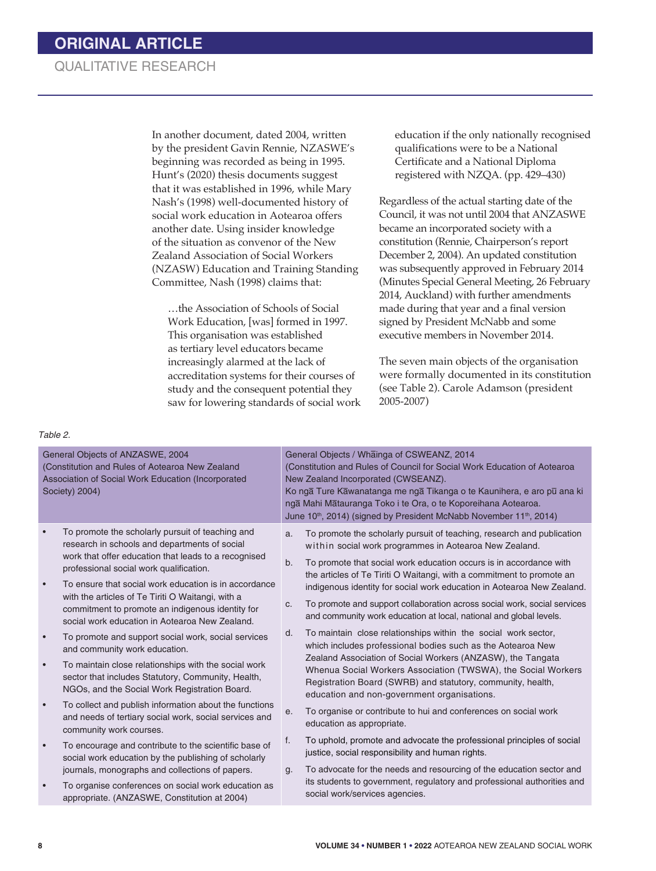In another document, dated 2004, written by the president Gavin Rennie, NZASWE's beginning was recorded as being in 1995. Hunt's (2020) thesis documents suggest that it was established in 1996, while Mary Nash's (1998) well-documented history of social work education in Aotearoa offers another date. Using insider knowledge of the situation as convenor of the New Zealand Association of Social Workers (NZASW) Education and Training Standing Committee, Nash (1998) claims that:

…the Association of Schools of Social Work Education, [was] formed in 1997. This organisation was established as tertiary level educators became increasingly alarmed at the lack of accreditation systems for their courses of study and the consequent potential they saw for lowering standards of social work

education if the only nationally recognised qualifications were to be a National Certificate and a National Diploma registered with NZQA. (pp. 429–430)

Regardless of the actual starting date of the Council, it was not until 2004 that ANZASWE became an incorporated society with a constitution (Rennie, Chairperson's report December 2, 2004). An updated constitution was subsequently approved in February 2014 (Minutes Special General Meeting, 26 February 2014, Auckland) with further amendments made during that year and a final version signed by President McNabb and some executive members in November 2014.

The seven main objects of the organisation were formally documented in its constitution (see Table 2). Carole Adamson (president 2005-2007)

#### *Table 2.*

| General Objects of ANZASWE, 2004<br>(Constitution and Rules of Aotearoa New Zealand<br>Association of Social Work Education (Incorporated<br>Society) 2004) |                                                                                                                                                                                                                                                                                                                                                                                                                          | General Objects / Whainga of CSWEANZ, 2014<br>(Constitution and Rules of Council for Social Work Education of Aotearoa<br>New Zealand Incorporated (CWSEANZ).<br>Ko nga Ture Kawanatanga me nga Tikanga o te Kaunihera, e aro pu ana ki<br>nga Mahi Matauranga Toko i te Ora, o te Koporeihana Aotearoa.<br>June 10 <sup>th</sup> , 2014) (signed by President McNabb November 11 <sup>th</sup> , 2014) |                                                                                                                                                                                                                                                                                                                                                                                                                                                                                                             |  |
|-------------------------------------------------------------------------------------------------------------------------------------------------------------|--------------------------------------------------------------------------------------------------------------------------------------------------------------------------------------------------------------------------------------------------------------------------------------------------------------------------------------------------------------------------------------------------------------------------|---------------------------------------------------------------------------------------------------------------------------------------------------------------------------------------------------------------------------------------------------------------------------------------------------------------------------------------------------------------------------------------------------------|-------------------------------------------------------------------------------------------------------------------------------------------------------------------------------------------------------------------------------------------------------------------------------------------------------------------------------------------------------------------------------------------------------------------------------------------------------------------------------------------------------------|--|
| $\bullet$                                                                                                                                                   | To promote the scholarly pursuit of teaching and<br>research in schools and departments of social<br>work that offer education that leads to a recognised<br>professional social work qualification.<br>To ensure that social work education is in accordance<br>with the articles of Te Tiriti O Waitangi, with a<br>commitment to promote an indigenous identity for<br>social work education in Aotearoa New Zealand. | a.<br>b.<br>C.                                                                                                                                                                                                                                                                                                                                                                                          | To promote the scholarly pursuit of teaching, research and publication<br>within social work programmes in Aotearoa New Zealand.<br>To promote that social work education occurs is in accordance with<br>the articles of Te Tiriti O Waitangi, with a commitment to promote an<br>indigenous identity for social work education in Aotearoa New Zealand.<br>To promote and support collaboration across social work, social services<br>and community work education at local, national and global levels. |  |
|                                                                                                                                                             | To promote and support social work, social services<br>and community work education.<br>To maintain close relationships with the social work<br>sector that includes Statutory, Community, Health,<br>NGOs, and the Social Work Registration Board.                                                                                                                                                                      | d.                                                                                                                                                                                                                                                                                                                                                                                                      | To maintain close relationships within the social work sector,<br>which includes professional bodies such as the Aotearoa New<br>Zealand Association of Social Workers (ANZASW), the Tangata<br>Whenua Social Workers Association (TWSWA), the Social Workers<br>Registration Board (SWRB) and statutory, community, health,<br>education and non-government organisations.                                                                                                                                 |  |
|                                                                                                                                                             | To collect and publish information about the functions<br>and needs of tertiary social work, social services and<br>community work courses.<br>To encourage and contribute to the scientific base of<br>social work education by the publishing of scholarly<br>journals, monographs and collections of papers.<br>To organise conferences on social work education as<br>appropriate. (ANZASWE, Constitution at 2004)   | е.<br>f.<br>g.                                                                                                                                                                                                                                                                                                                                                                                          | To organise or contribute to hui and conferences on social work<br>education as appropriate.<br>To uphold, promote and advocate the professional principles of social<br>justice, social responsibility and human rights.<br>To advocate for the needs and resourcing of the education sector and<br>its students to government, regulatory and professional authorities and<br>social work/services agencies.                                                                                              |  |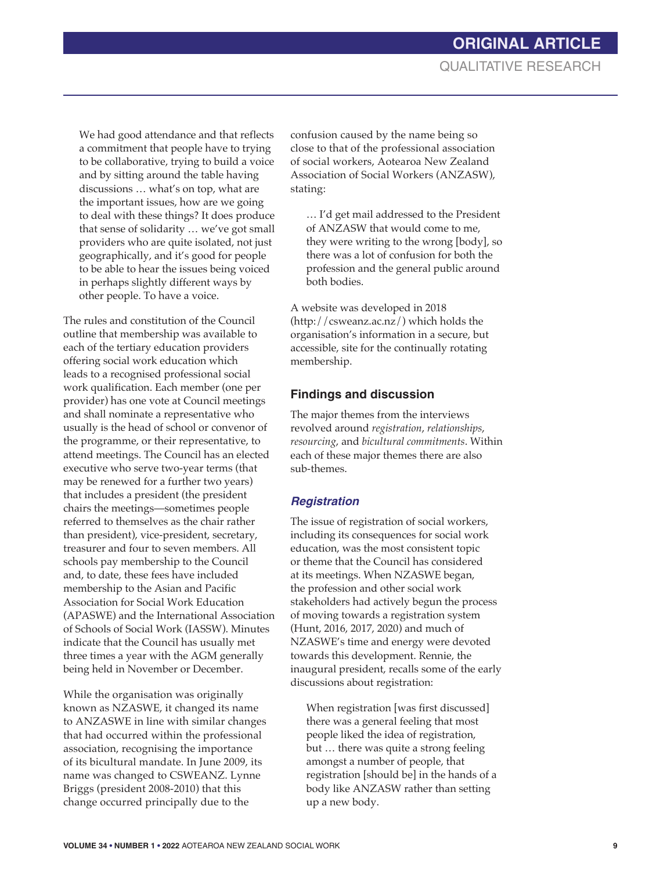We had good attendance and that reflects a commitment that people have to trying to be collaborative, trying to build a voice and by sitting around the table having discussions … what's on top, what are the important issues, how are we going to deal with these things? It does produce that sense of solidarity … we've got small providers who are quite isolated, not just geographically, and it's good for people to be able to hear the issues being voiced in perhaps slightly different ways by other people. To have a voice.

The rules and constitution of the Council outline that membership was available to each of the tertiary education providers offering social work education which leads to a recognised professional social work qualification. Each member (one per provider) has one vote at Council meetings and shall nominate a representative who usually is the head of school or convenor of the programme, or their representative, to attend meetings. The Council has an elected executive who serve two-year terms (that may be renewed for a further two years) that includes a president (the president chairs the meetings—sometimes people referred to themselves as the chair rather than president), vice-president, secretary, treasurer and four to seven members. All schools pay membership to the Council and, to date, these fees have included membership to the Asian and Pacific Association for Social Work Education (APASWE) and the International Association of Schools of Social Work (IASSW). Minutes indicate that the Council has usually met three times a year with the AGM generally being held in November or December.

While the organisation was originally known as NZASWE, it changed its name to ANZASWE in line with similar changes that had occurred within the professional association, recognising the importance of its bicultural mandate. In June 2009, its name was changed to CSWEANZ. Lynne Briggs (president 2008-2010) that this change occurred principally due to the

confusion caused by the name being so close to that of the professional association of social workers, Aotearoa New Zealand Association of Social Workers (ANZASW), stating:

… I'd get mail addressed to the President of ANZASW that would come to me, they were writing to the wrong [body], so there was a lot of confusion for both the profession and the general public around both bodies.

A website was developed in 2018 (http://csweanz.ac.nz/) which holds the organisation's information in a secure, but accessible, site for the continually rotating membership.

### **Findings and discussion**

The major themes from the interviews revolved around *registration*, *relationships*, *resourcing*, and *bicultural commitments*. Within each of these major themes there are also sub-themes.

### *Registration*

The issue of registration of social workers, including its consequences for social work education, was the most consistent topic or theme that the Council has considered at its meetings. When NZASWE began, the profession and other social work stakeholders had actively begun the process of moving towards a registration system (Hunt, 2016, 2017, 2020) and much of NZASWE's time and energy were devoted towards this development. Rennie, the inaugural president, recalls some of the early discussions about registration:

When registration [was first discussed] there was a general feeling that most people liked the idea of registration, but … there was quite a strong feeling amongst a number of people, that registration [should be] in the hands of a body like ANZASW rather than setting up a new body.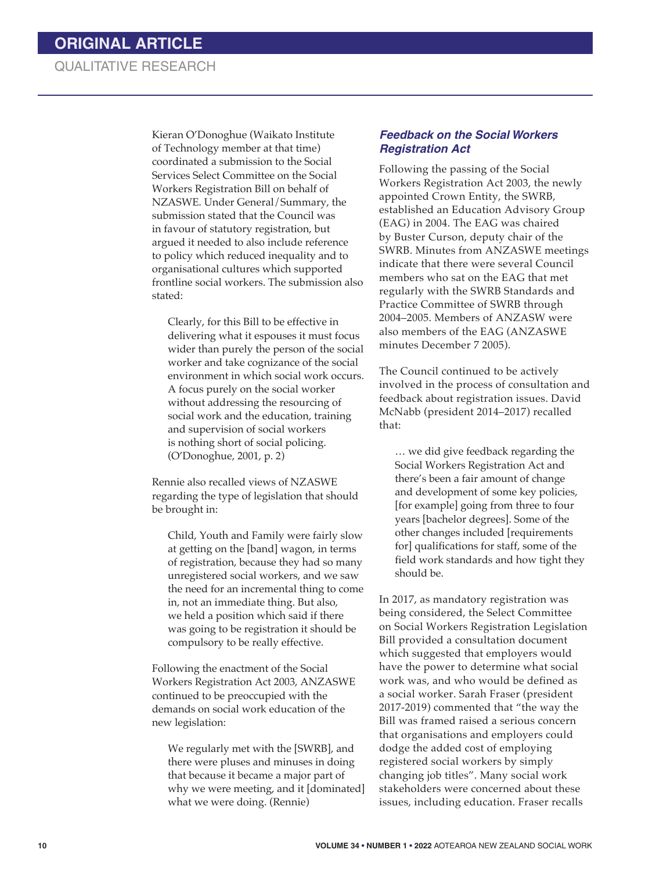Kieran O'Donoghue (Waikato Institute of Technology member at that time) coordinated a submission to the Social Services Select Committee on the Social Workers Registration Bill on behalf of NZASWE. Under General/Summary, the submission stated that the Council was in favour of statutory registration, but argued it needed to also include reference to policy which reduced inequality and to organisational cultures which supported frontline social workers. The submission also stated:

Clearly, for this Bill to be effective in delivering what it espouses it must focus wider than purely the person of the social worker and take cognizance of the social environment in which social work occurs. A focus purely on the social worker without addressing the resourcing of social work and the education, training and supervision of social workers is nothing short of social policing. (O'Donoghue, 2001, p. 2)

Rennie also recalled views of NZASWE regarding the type of legislation that should be brought in:

Child, Youth and Family were fairly slow at getting on the [band] wagon, in terms of registration, because they had so many unregistered social workers, and we saw the need for an incremental thing to come in, not an immediate thing. But also, we held a position which said if there was going to be registration it should be compulsory to be really effective.

Following the enactment of the Social Workers Registration Act 2003, ANZASWE continued to be preoccupied with the demands on social work education of the new legislation:

We regularly met with the [SWRB], and there were pluses and minuses in doing that because it became a major part of why we were meeting, and it [dominated] what we were doing. (Rennie)

### *Feedback on the Social Workers Registration Act*

Following the passing of the Social Workers Registration Act 2003, the newly appointed Crown Entity, the SWRB, established an Education Advisory Group (EAG) in 2004. The EAG was chaired by Buster Curson, deputy chair of the SWRB. Minutes from ANZASWE meetings indicate that there were several Council members who sat on the EAG that met regularly with the SWRB Standards and Practice Committee of SWRB through 2004–2005. Members of ANZASW were also members of the EAG (ANZASWE minutes December 7 2005).

The Council continued to be actively involved in the process of consultation and feedback about registration issues. David McNabb (president 2014–2017) recalled that:

… we did give feedback regarding the Social Workers Registration Act and there's been a fair amount of change and development of some key policies, [for example] going from three to four years [bachelor degrees]. Some of the other changes included [requirements for] qualifications for staff, some of the field work standards and how tight they should be.

In 2017, as mandatory registration was being considered, the Select Committee on Social Workers Registration Legislation Bill provided a consultation document which suggested that employers would have the power to determine what social work was, and who would be defined as a social worker. Sarah Fraser (president 2017-2019) commented that "the way the Bill was framed raised a serious concern that organisations and employers could dodge the added cost of employing registered social workers by simply changing job titles". Many social work stakeholders were concerned about these issues, including education. Fraser recalls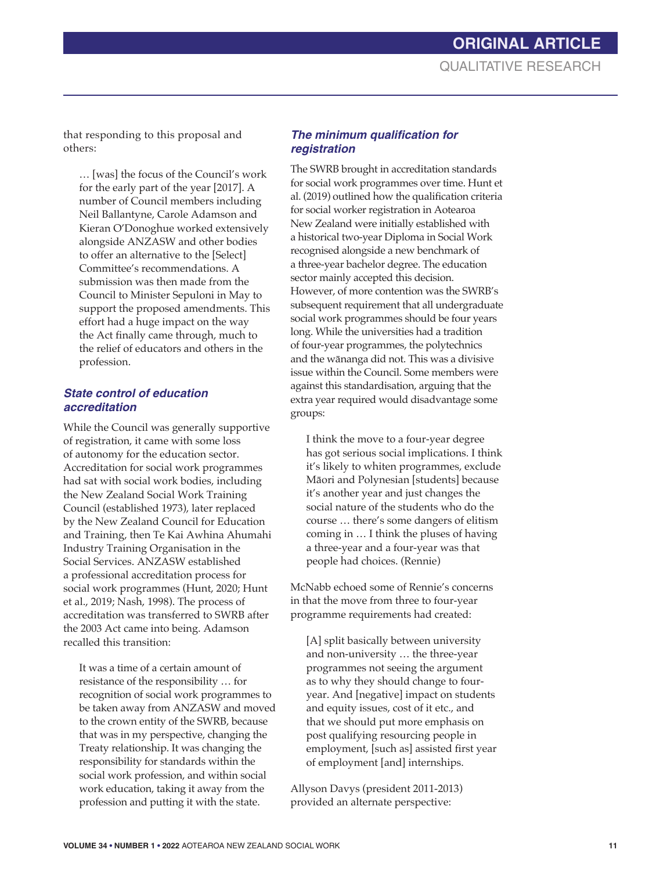# **ORIGINAL ARTICLE** QUALITATIVE RESEARCH

that responding to this proposal and others:

… [was] the focus of the Council's work for the early part of the year [2017]. A number of Council members including Neil Ballantyne, Carole Adamson and Kieran O'Donoghue worked extensively alongside ANZASW and other bodies to offer an alternative to the [Select] Committee's recommendations. A submission was then made from the Council to Minister Sepuloni in May to support the proposed amendments. This effort had a huge impact on the way the Act finally came through, much to the relief of educators and others in the profession.

### *State control of education accreditation*

While the Council was generally supportive of registration, it came with some loss of autonomy for the education sector. Accreditation for social work programmes had sat with social work bodies, including the New Zealand Social Work Training Council (established 1973), later replaced by the New Zealand Council for Education and Training, then Te Kai Awhina Ahumahi Industry Training Organisation in the Social Services. ANZASW established a professional accreditation process for social work programmes (Hunt, 2020; Hunt et al., 2019; Nash, 1998). The process of accreditation was transferred to SWRB after the 2003 Act came into being. Adamson recalled this transition:

It was a time of a certain amount of resistance of the responsibility … for recognition of social work programmes to be taken away from ANZASW and moved to the crown entity of the SWRB, because that was in my perspective, changing the Treaty relationship. It was changing the responsibility for standards within the social work profession, and within social work education, taking it away from the profession and putting it with the state.

### **The minimum qualification for** *registration*

The SWRB brought in accreditation standards for social work programmes over time. Hunt et al. (2019) outlined how the qualification criteria for social worker registration in Aotearoa New Zealand were initially established with a historical two-year Diploma in Social Work recognised alongside a new benchmark of a three-year bachelor degree. The education sector mainly accepted this decision. However, of more contention was the SWRB's subsequent requirement that all undergraduate social work programmes should be four years long. While the universities had a tradition of four-year programmes, the polytechnics and the wānanga did not. This was a divisive issue within the Council. Some members were against this standardisation, arguing that the extra year required would disadvantage some groups:

I think the move to a four-year degree has got serious social implications. I think it's likely to whiten programmes, exclude Māori and Polynesian [students] because it's another year and just changes the social nature of the students who do the course … there's some dangers of elitism coming in … I think the pluses of having a three-year and a four-year was that people had choices. (Rennie)

McNabb echoed some of Rennie's concerns in that the move from three to four-year programme requirements had created:

[A] split basically between university and non-university … the three-year programmes not seeing the argument as to why they should change to fouryear. And [negative] impact on students and equity issues, cost of it etc., and that we should put more emphasis on post qualifying resourcing people in employment, [such as] assisted first year of employment [and] internships.

Allyson Davys (president 2011-2013) provided an alternate perspective: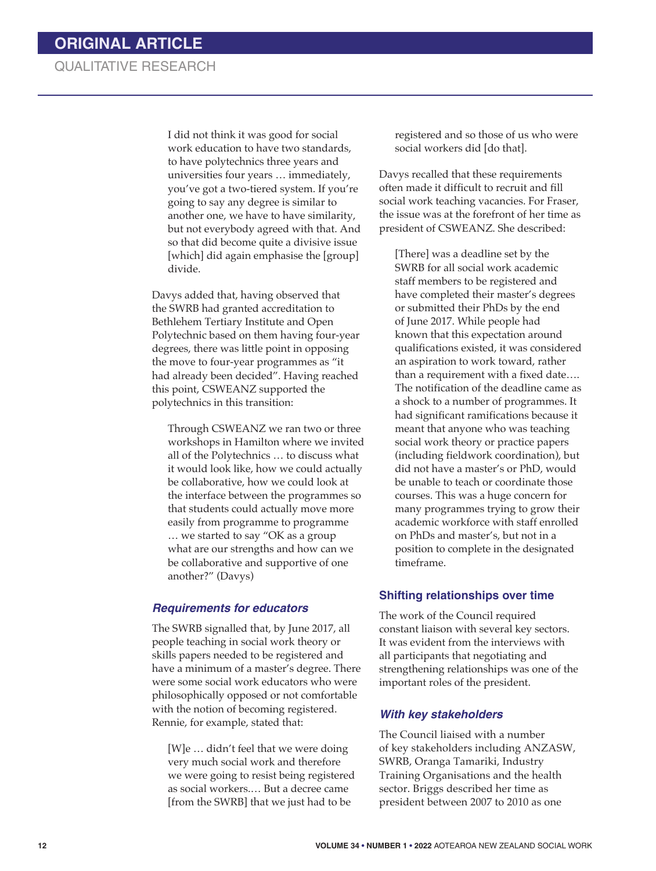I did not think it was good for social work education to have two standards, to have polytechnics three years and universities four years … immediately, you've got a two-tiered system. If you're going to say any degree is similar to another one, we have to have similarity, but not everybody agreed with that. And so that did become quite a divisive issue [which] did again emphasise the [group] divide.

Davys added that, having observed that the SWRB had granted accreditation to Bethlehem Tertiary Institute and Open Polytechnic based on them having four-year degrees, there was little point in opposing the move to four-year programmes as "it had already been decided". Having reached this point, CSWEANZ supported the polytechnics in this transition:

Through CSWEANZ we ran two or three workshops in Hamilton where we invited all of the Polytechnics … to discuss what it would look like, how we could actually be collaborative, how we could look at the interface between the programmes so that students could actually move more easily from programme to programme … we started to say "OK as a group what are our strengths and how can we be collaborative and supportive of one another?" (Davys)

#### *Requirements for educators*

The SWRB signalled that, by June 2017, all people teaching in social work theory or skills papers needed to be registered and have a minimum of a master's degree. There were some social work educators who were philosophically opposed or not comfortable with the notion of becoming registered. Rennie, for example, stated that:

[W]e … didn't feel that we were doing very much social work and therefore we were going to resist being registered as social workers.… But a decree came [from the SWRB] that we just had to be

registered and so those of us who were social workers did [do that].

Davys recalled that these requirements often made it difficult to recruit and fill social work teaching vacancies. For Fraser, the issue was at the forefront of her time as president of CSWEANZ. She described:

[There] was a deadline set by the SWRB for all social work academic staff members to be registered and have completed their master's degrees or submitted their PhDs by the end of June 2017. While people had known that this expectation around qualifications existed, it was considered an aspiration to work toward, rather than a requirement with a fixed date…. The notification of the deadline came as a shock to a number of programmes. It had significant ramifications because it meant that anyone who was teaching social work theory or practice papers (including fieldwork coordination), but did not have a master's or PhD, would be unable to teach or coordinate those courses. This was a huge concern for many programmes trying to grow their academic workforce with staff enrolled on PhDs and master's, but not in a position to complete in the designated timeframe.

#### **Shifting relationships over time**

The work of the Council required constant liaison with several key sectors. It was evident from the interviews with all participants that negotiating and strengthening relationships was one of the important roles of the president.

#### *With key stakeholders*

The Council liaised with a number of key stakeholders including ANZASW, SWRB, Oranga Tamariki, Industry Training Organisations and the health sector. Briggs described her time as president between 2007 to 2010 as one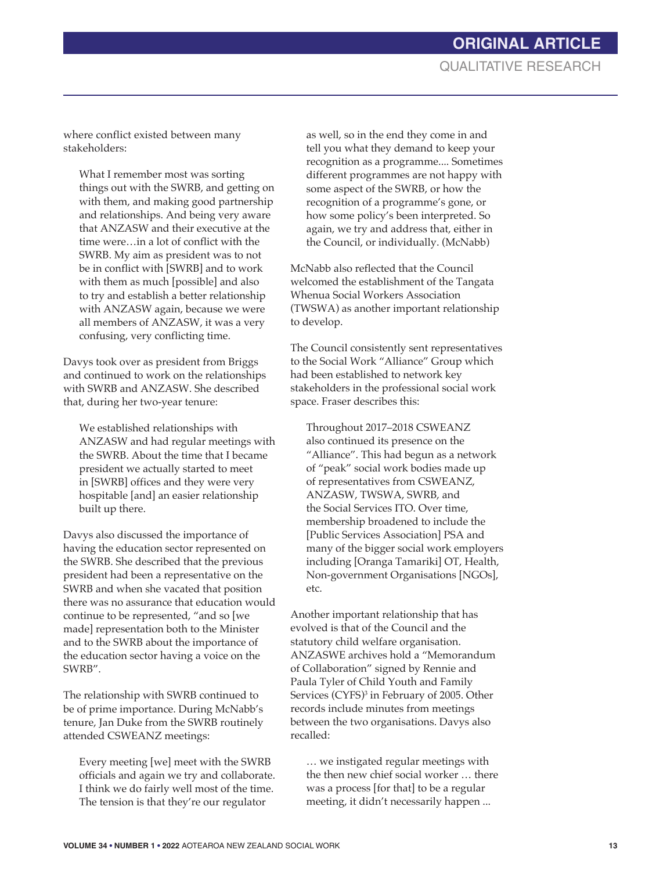where conflict existed between many stakeholders:

What I remember most was sorting things out with the SWRB, and getting on with them, and making good partnership and relationships. And being very aware that ANZASW and their executive at the time were…in a lot of conflict with the SWRB. My aim as president was to not be in conflict with [SWRB] and to work with them as much [possible] and also to try and establish a better relationship with ANZASW again, because we were all members of ANZASW, it was a very confusing, very conflicting time.

Davys took over as president from Briggs and continued to work on the relationships with SWRB and ANZASW. She described that, during her two-year tenure:

We established relationships with ANZASW and had regular meetings with the SWRB. About the time that I became president we actually started to meet in [SWRB] offices and they were very hospitable [and] an easier relationship built up there.

Davys also discussed the importance of having the education sector represented on the SWRB. She described that the previous president had been a representative on the SWRB and when she vacated that position there was no assurance that education would continue to be represented, "and so [we made] representation both to the Minister and to the SWRB about the importance of the education sector having a voice on the SWRB".

The relationship with SWRB continued to be of prime importance. During McNabb's tenure, Jan Duke from the SWRB routinely attended CSWEANZ meetings:

Every meeting [we] meet with the SWRB officials and again we try and collaborate. I think we do fairly well most of the time. The tension is that they're our regulator

as well, so in the end they come in and tell you what they demand to keep your recognition as a programme.... Sometimes different programmes are not happy with some aspect of the SWRB, or how the recognition of a programme's gone, or how some policy's been interpreted. So again, we try and address that, either in the Council, or individually. (McNabb)

McNabb also reflected that the Council welcomed the establishment of the Tangata Whenua Social Workers Association (TWSWA) as another important relationship to develop.

The Council consistently sent representatives to the Social Work "Alliance" Group which had been established to network key stakeholders in the professional social work space. Fraser describes this:

Throughout 2017–2018 CSWEANZ also continued its presence on the "Alliance". This had begun as a network of "peak" social work bodies made up of representatives from CSWEANZ, ANZASW, TWSWA, SWRB, and the Social Services ITO. Over time, membership broadened to include the [Public Services Association] PSA and many of the bigger social work employers including [Oranga Tamariki] OT, Health, Non-government Organisations [NGOs], etc.

Another important relationship that has evolved is that of the Council and the statutory child welfare organisation. ANZASWE archives hold a "Memorandum of Collaboration" signed by Rennie and Paula Tyler of Child Youth and Family Services (CYFS)<sup>3</sup> in February of 2005. Other records include minutes from meetings between the two organisations. Davys also recalled:

… we instigated regular meetings with the then new chief social worker … there was a process [for that] to be a regular meeting, it didn't necessarily happen ...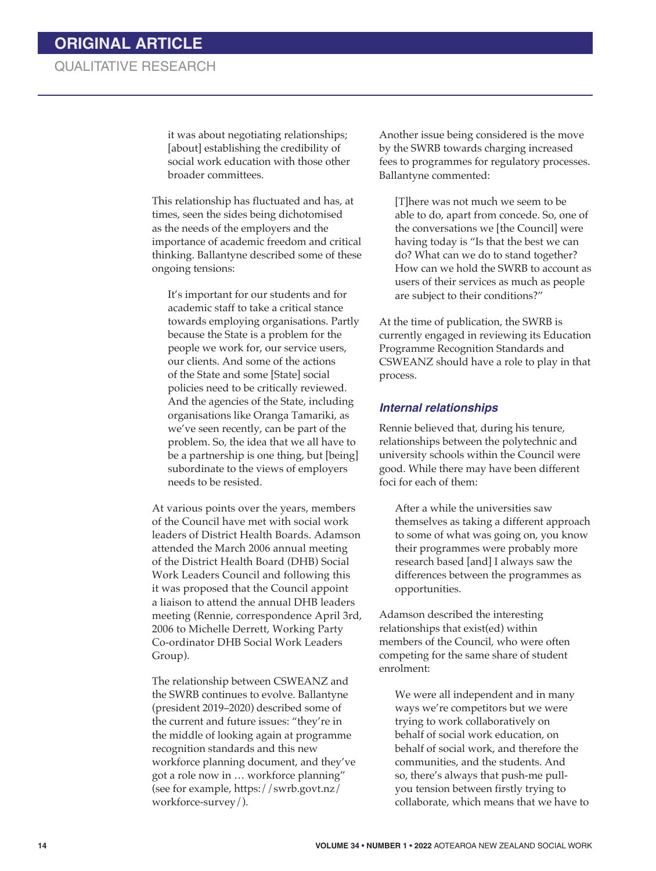it was about negotiating relationships; [about] establishing the credibility of social work education with those other broader committees.

This relationship has fluctuated and has, at times, seen the sides being dichotomised as the needs of the employers and the importance of academic freedom and critical thinking. Ballantyne described some of these ongoing tensions:

It's important for our students and for academic staff to take a critical stance towards employing organisations. Partly because the State is a problem for the people we work for, our service users, our clients. And some of the actions of the State and some [State] social policies need to be critically reviewed. And the agencies of the State, including organisations like Oranga Tamariki, as we've seen recently, can be part of the problem. So, the idea that we all have to be a partnership is one thing, but [being] subordinate to the views of employers needs to be resisted.

At various points over the years, members of the Council have met with social work leaders of District Health Boards. Adamson attended the March 2006 annual meeting of the District Health Board (DHB) Social Work Leaders Council and following this it was proposed that the Council appoint a liaison to attend the annual DHB leaders meeting (Rennie, correspondence April 3rd, 2006 to Michelle Derrett, Working Party Co-ordinator DHB Social Work Leaders Group).

The relationship between CSWEANZ and the SWRB continues to evolve. Ballantyne (president 2019–2020) described some of the current and future issues: "they're in the middle of looking again at programme recognition standards and this new workforce planning document, and they've got a role now in … workforce planning" (see for example, https://swrb.govt.nz/ workforce-survey/).

Another issue being considered is the move by the SWRB towards charging increased fees to programmes for regulatory processes. Ballantyne commented:

[T]here was not much we seem to be able to do, apart from concede. So, one of the conversations we [the Council] were having today is "Is that the best we can do? What can we do to stand together? How can we hold the SWRB to account as users of their services as much as people are subject to their conditions?"

At the time of publication, the SWRB is currently engaged in reviewing its Education Programme Recognition Standards and CSWEANZ should have a role to play in that process.

### *Internal relationships*

Rennie believed that, during his tenure, relationships between the polytechnic and university schools within the Council were good. While there may have been different foci for each of them:

After a while the universities saw themselves as taking a different approach to some of what was going on, you know their programmes were probably more research based [and] I always saw the differences between the programmes as opportunities.

Adamson described the interesting relationships that exist(ed) within members of the Council, who were often competing for the same share of student enrolment:

We were all independent and in many ways we're competitors but we were trying to work collaboratively on behalf of social work education, on behalf of social work, and therefore the communities, and the students. And so, there's always that push-me pullyou tension between firstly trying to collaborate, which means that we have to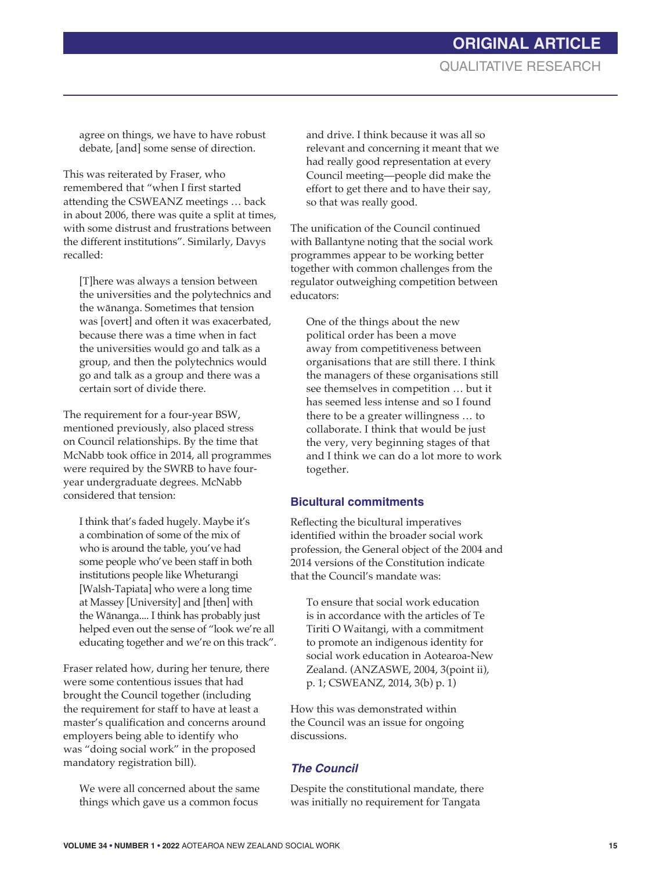agree on things, we have to have robust debate, [and] some sense of direction.

This was reiterated by Fraser, who remembered that "when I first started attending the CSWEANZ meetings … back in about 2006, there was quite a split at times, with some distrust and frustrations between the different institutions". Similarly, Davys recalled:

[T]here was always a tension between the universities and the polytechnics and the wānanga. Sometimes that tension was [overt] and often it was exacerbated, because there was a time when in fact the universities would go and talk as a group, and then the polytechnics would go and talk as a group and there was a certain sort of divide there.

The requirement for a four-year BSW, mentioned previously, also placed stress on Council relationships. By the time that McNabb took office in 2014, all programmes were required by the SWRB to have fouryear undergraduate degrees. McNabb considered that tension:

I think that's faded hugely. Maybe it's a combination of some of the mix of who is around the table, you've had some people who've been staff in both institutions people like Wheturangi [Walsh-Tapiata] who were a long time at Massey [University] and [then] with the Wānanga.... I think has probably just helped even out the sense of "look we're all educating together and we're on this track".

Fraser related how, during her tenure, there were some contentious issues that had brought the Council together (including the requirement for staff to have at least a master's qualification and concerns around employers being able to identify who was "doing social work" in the proposed mandatory registration bill).

We were all concerned about the same things which gave us a common focus

and drive. I think because it was all so relevant and concerning it meant that we had really good representation at every Council meeting—people did make the effort to get there and to have their say, so that was really good.

The unification of the Council continued with Ballantyne noting that the social work programmes appear to be working better together with common challenges from the regulator outweighing competition between educators:

One of the things about the new political order has been a move away from competitiveness between organisations that are still there. I think the managers of these organisations still see themselves in competition … but it has seemed less intense and so I found there to be a greater willingness … to collaborate. I think that would be just the very, very beginning stages of that and I think we can do a lot more to work together.

### **Bicultural commitments**

Reflecting the bicultural imperatives identified within the broader social work profession, the General object of the 2004 and 2014 versions of the Constitution indicate that the Council's mandate was:

To ensure that social work education is in accordance with the articles of Te Tiriti O Waitangi, with a commitment to promote an indigenous identity for social work education in Aotearoa-New Zealand. (ANZASWE, 2004, 3(point ii), p. 1; CSWEANZ, 2014, 3(b) p. 1)

How this was demonstrated within the Council was an issue for ongoing discussions.

### *The Council*

Despite the constitutional mandate, there was initially no requirement for Tangata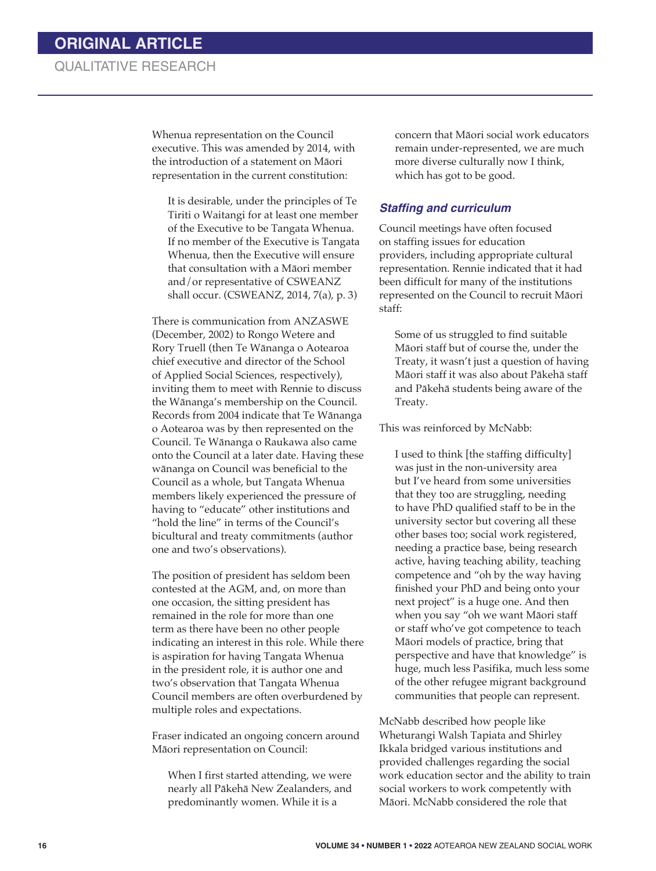Whenua representation on the Council executive. This was amended by 2014, with the introduction of a statement on Māori representation in the current constitution:

It is desirable, under the principles of Te Tiriti o Waitangi for at least one member of the Executive to be Tangata Whenua. If no member of the Executive is Tangata Whenua, then the Executive will ensure that consultation with a Māori member and/or representative of CSWEANZ shall occur. (CSWEANZ, 2014, 7(a), p. 3)

There is communication from ANZASWE (December, 2002) to Rongo Wetere and Rory Truell (then Te Wānanga o Aotearoa chief executive and director of the School of Applied Social Sciences, respectively), inviting them to meet with Rennie to discuss the Wānanga's membership on the Council. Records from 2004 indicate that Te Wānanga o Aotearoa was by then represented on the Council. Te Wānanga o Raukawa also came onto the Council at a later date. Having these wānanga on Council was beneficial to the Council as a whole, but Tangata Whenua members likely experienced the pressure of having to "educate" other institutions and "hold the line" in terms of the Council's bicultural and treaty commitments (author one and two's observations).

The position of president has seldom been contested at the AGM, and, on more than one occasion, the sitting president has remained in the role for more than one term as there have been no other people indicating an interest in this role. While there is aspiration for having Tangata Whenua in the president role, it is author one and two's observation that Tangata Whenua Council members are often overburdened by multiple roles and expectations.

Fraser indicated an ongoing concern around Māori representation on Council:

When I first started attending, we were nearly all Pākehā New Zealanders, and predominantly women. While it is a

concern that Māori social work educators remain under-represented, we are much more diverse culturally now I think, which has got to be good.

### **Staffing and curriculum**

Council meetings have often focused on staffing issues for education providers, including appropriate cultural representation. Rennie indicated that it had been difficult for many of the institutions represented on the Council to recruit Māori staff:

Some of us struggled to find suitable Māori staff but of course the, under the Treaty, it wasn't just a question of having Māori staff it was also about Pākehā staff and Pākehā students being aware of the Treaty.

This was reinforced by McNabb:

I used to think [the staffing difficulty] was just in the non-university area but I've heard from some universities that they too are struggling, needing to have PhD qualified staff to be in the university sector but covering all these other bases too; social work registered, needing a practice base, being research active, having teaching ability, teaching competence and "oh by the way having finished your PhD and being onto your next project" is a huge one. And then when you say "oh we want Māori staff or staff who've got competence to teach Māori models of practice, bring that perspective and have that knowledge" is huge, much less Pasifika, much less some of the other refugee migrant background communities that people can represent.

McNabb described how people like Wheturangi Walsh Tapiata and Shirley Ikkala bridged various institutions and provided challenges regarding the social work education sector and the ability to train social workers to work competently with Māori. McNabb considered the role that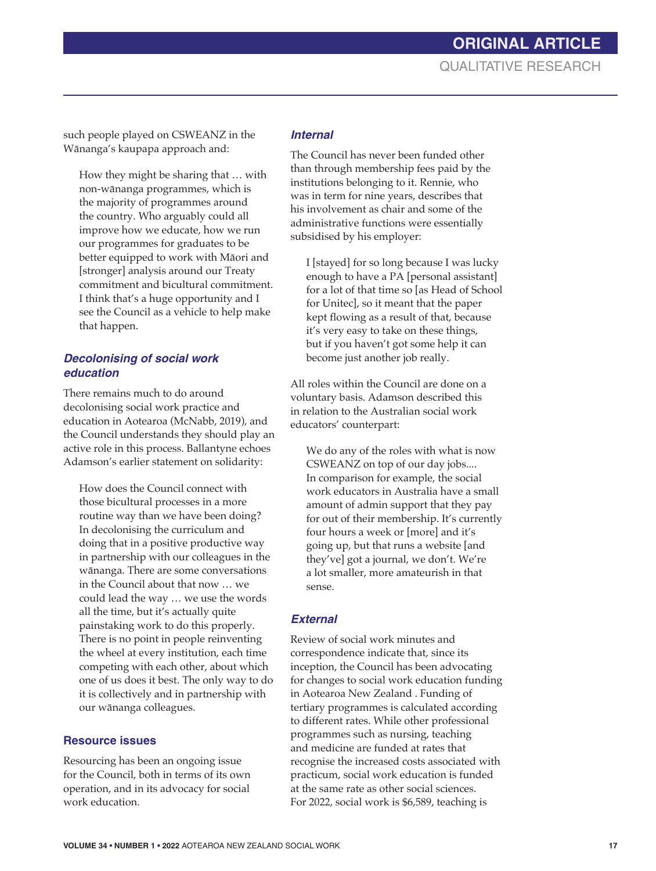**ORIGINAL ARTICLE** QUALITATIVE RESEARCH

such people played on CSWEANZ in the Wānanga's kaupapa approach and:

How they might be sharing that … with non-wānanga programmes, which is the majority of programmes around the country. Who arguably could all improve how we educate, how we run our programmes for graduates to be better equipped to work with Māori and [stronger] analysis around our Treaty commitment and bicultural commitment. I think that's a huge opportunity and I see the Council as a vehicle to help make that happen.

### *Decolonising of social work education*

There remains much to do around decolonising social work practice and education in Aotearoa (McNabb, 2019), and the Council understands they should play an active role in this process. Ballantyne echoes Adamson's earlier statement on solidarity:

How does the Council connect with those bicultural processes in a more routine way than we have been doing? In decolonising the curriculum and doing that in a positive productive way in partnership with our colleagues in the wānanga. There are some conversations in the Council about that now … we could lead the way … we use the words all the time, but it's actually quite painstaking work to do this properly. There is no point in people reinventing the wheel at every institution, each time competing with each other, about which one of us does it best. The only way to do it is collectively and in partnership with our wānanga colleagues.

#### **Resource issues**

Resourcing has been an ongoing issue for the Council, both in terms of its own operation, and in its advocacy for social work education.

### *Internal*

The Council has never been funded other than through membership fees paid by the institutions belonging to it. Rennie, who was in term for nine years, describes that his involvement as chair and some of the administrative functions were essentially subsidised by his employer:

I [stayed] for so long because I was lucky enough to have a PA [personal assistant] for a lot of that time so [as Head of School for Unitec], so it meant that the paper kept flowing as a result of that, because it's very easy to take on these things, but if you haven't got some help it can become just another job really.

All roles within the Council are done on a voluntary basis. Adamson described this in relation to the Australian social work educators' counterpart:

We do any of the roles with what is now CSWEANZ on top of our day jobs.... In comparison for example, the social work educators in Australia have a small amount of admin support that they pay for out of their membership. It's currently four hours a week or [more] and it's going up, but that runs a website [and they've] got a journal, we don't. We're a lot smaller, more amateurish in that sense.

#### *External*

Review of social work minutes and correspondence indicate that, since its inception, the Council has been advocating for changes to social work education funding in Aotearoa New Zealand . Funding of tertiary programmes is calculated according to different rates. While other professional programmes such as nursing, teaching and medicine are funded at rates that recognise the increased costs associated with practicum, social work education is funded at the same rate as other social sciences. For 2022, social work is \$6,589, teaching is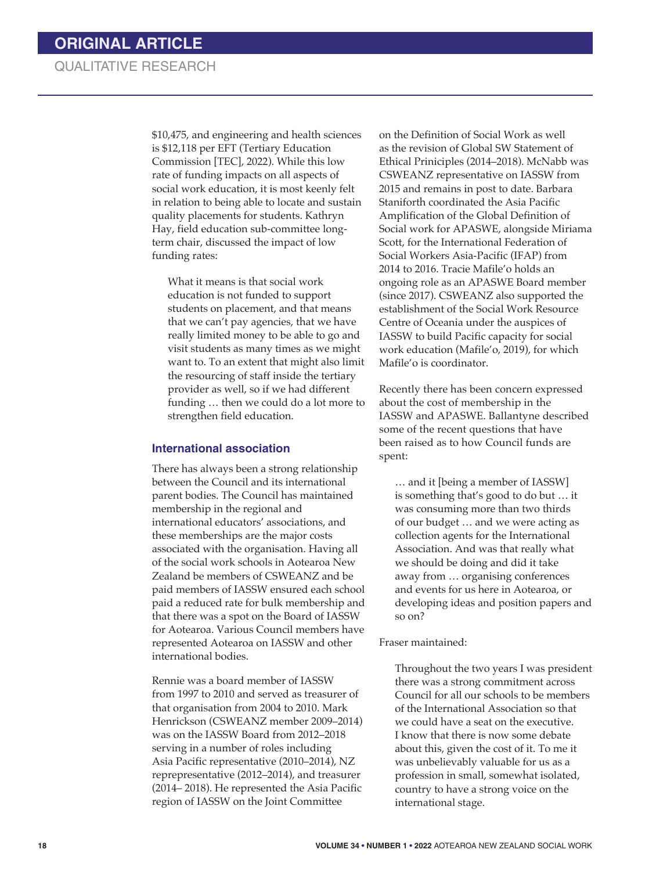\$10,475, and engineering and health sciences is \$12,118 per EFT (Tertiary Education Commission [TEC], 2022). While this low rate of funding impacts on all aspects of social work education, it is most keenly felt in relation to being able to locate and sustain quality placements for students. Kathryn Hay, field education sub-committee longterm chair, discussed the impact of low funding rates:

What it means is that social work education is not funded to support students on placement, and that means that we can't pay agencies, that we have really limited money to be able to go and visit students as many times as we might want to. To an extent that might also limit the resourcing of staff inside the tertiary provider as well, so if we had different funding … then we could do a lot more to strengthen field education.

#### **International association**

There has always been a strong relationship between the Council and its international parent bodies. The Council has maintained membership in the regional and international educators' associations, and these memberships are the major costs associated with the organisation. Having all of the social work schools in Aotearoa New Zealand be members of CSWEANZ and be paid members of IASSW ensured each school paid a reduced rate for bulk membership and that there was a spot on the Board of IASSW for Aotearoa. Various Council members have represented Aotearoa on IASSW and other international bodies.

Rennie was a board member of IASSW from 1997 to 2010 and served as treasurer of that organisation from 2004 to 2010. Mark Henrickson (CSWEANZ member 2009–2014) was on the IASSW Board from 2012–2018 serving in a number of roles including Asia Pacific representative (2010–2014), NZ reprepresentative (2012–2014), and treasurer (2014– 2018). He represented the Asia Pacific region of IASSW on the Joint Committee

on the Definition of Social Work as well as the revision of Global SW Statement of Ethical Priniciples (2014–2018). McNabb was CSWEANZ representative on IASSW from 2015 and remains in post to date. Barbara Staniforth coordinated the Asia Pacific Amplification of the Global Definition of Social work for APASWE, alongside Miriama Scott, for the International Federation of Social Workers Asia-Pacific (IFAP) from 2014 to 2016. Tracie Mafile'o holds an ongoing role as an APASWE Board member (since 2017). CSWEANZ also supported the establishment of the Social Work Resource Centre of Oceania under the auspices of IASSW to build Pacific capacity for social work education (Mafile'o, 2019), for which Mafile'o is coordinator.

Recently there has been concern expressed about the cost of membership in the IASSW and APASWE. Ballantyne described some of the recent questions that have been raised as to how Council funds are spent:

… and it [being a member of IASSW] is something that's good to do but … it was consuming more than two thirds of our budget … and we were acting as collection agents for the International Association. And was that really what we should be doing and did it take away from … organising conferences and events for us here in Aotearoa, or developing ideas and position papers and so on?

Fraser maintained:

Throughout the two years I was president there was a strong commitment across Council for all our schools to be members of the International Association so that we could have a seat on the executive. I know that there is now some debate about this, given the cost of it. To me it was unbelievably valuable for us as a profession in small, somewhat isolated, country to have a strong voice on the international stage.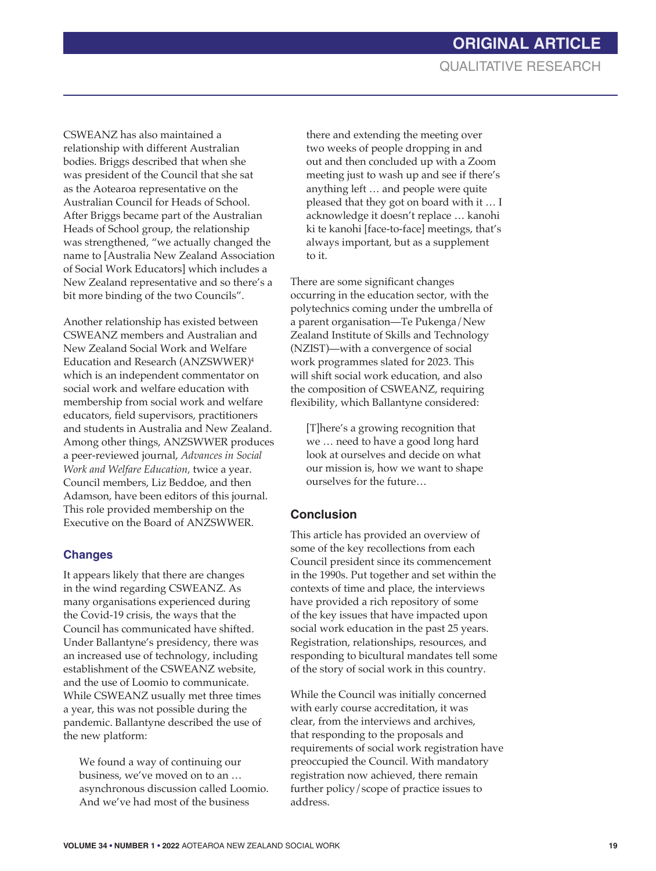CSWEANZ has also maintained a relationship with different Australian bodies. Briggs described that when she was president of the Council that she sat as the Aotearoa representative on the Australian Council for Heads of School. After Briggs became part of the Australian Heads of School group, the relationship was strengthened, "we actually changed the name to [Australia New Zealand Association of Social Work Educators] which includes a New Zealand representative and so there's a bit more binding of the two Councils".

Another relationship has existed between CSWEANZ members and Australian and New Zealand Social Work and Welfare Education and Research (ANZSWWER)4 which is an independent commentator on social work and welfare education with membership from social work and welfare educators, field supervisors, practitioners and students in Australia and New Zealand. Among other things, ANZSWWER produces a peer-reviewed journal, *Advances in Social Work and Welfare Education,* twice a year. Council members, Liz Beddoe, and then Adamson, have been editors of this journal. This role provided membership on the Executive on the Board of ANZSWWER.

### **Changes**

It appears likely that there are changes in the wind regarding CSWEANZ. As many organisations experienced during the Covid-19 crisis, the ways that the Council has communicated have shifted. Under Ballantyne's presidency, there was an increased use of technology, including establishment of the CSWEANZ website, and the use of Loomio to communicate. While CSWEANZ usually met three times a year, this was not possible during the pandemic. Ballantyne described the use of the new platform:

We found a way of continuing our business, we've moved on to an … asynchronous discussion called Loomio. And we've had most of the business

there and extending the meeting over two weeks of people dropping in and out and then concluded up with a Zoom meeting just to wash up and see if there's anything left … and people were quite pleased that they got on board with it … I acknowledge it doesn't replace … kanohi ki te kanohi [face-to-face] meetings, that's always important, but as a supplement to it.

There are some significant changes occurring in the education sector, with the polytechnics coming under the umbrella of a parent organisation—Te Pukenga/New Zealand Institute of Skills and Technology (NZIST)—with a convergence of social work programmes slated for 2023. This will shift social work education, and also the composition of CSWEANZ, requiring flexibility, which Ballantyne considered:

[T]here's a growing recognition that we … need to have a good long hard look at ourselves and decide on what our mission is, how we want to shape ourselves for the future…

### **Conclusion**

This article has provided an overview of some of the key recollections from each Council president since its commencement in the 1990s. Put together and set within the contexts of time and place, the interviews have provided a rich repository of some of the key issues that have impacted upon social work education in the past 25 years. Registration, relationships, resources, and responding to bicultural mandates tell some of the story of social work in this country.

While the Council was initially concerned with early course accreditation, it was clear, from the interviews and archives, that responding to the proposals and requirements of social work registration have preoccupied the Council. With mandatory registration now achieved, there remain further policy/scope of practice issues to address.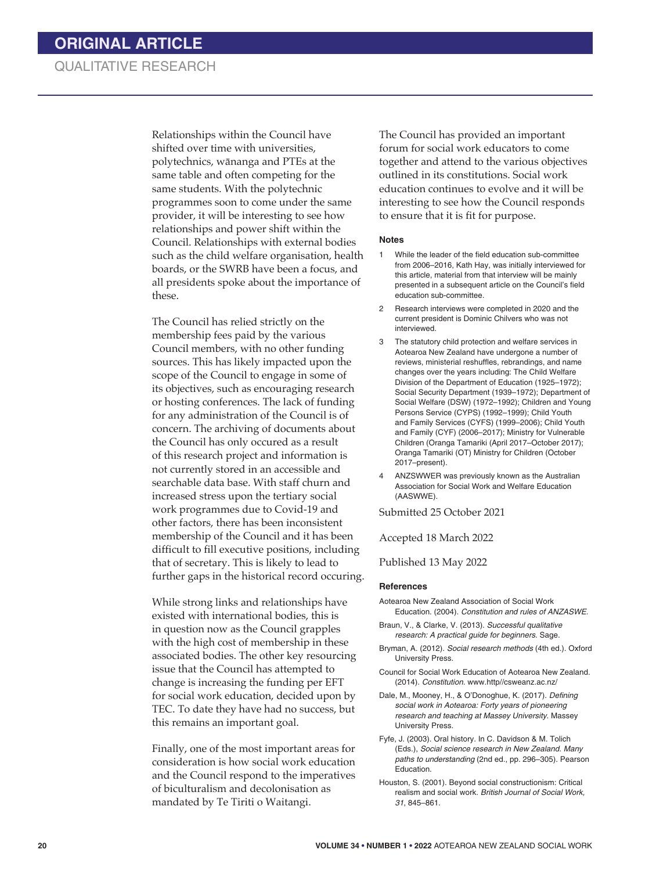Relationships within the Council have shifted over time with universities, polytechnics, wānanga and PTEs at the same table and often competing for the same students. With the polytechnic programmes soon to come under the same provider, it will be interesting to see how relationships and power shift within the Council. Relationships with external bodies such as the child welfare organisation, health boards, or the SWRB have been a focus, and all presidents spoke about the importance of these.

The Council has relied strictly on the membership fees paid by the various Council members, with no other funding sources. This has likely impacted upon the scope of the Council to engage in some of its objectives, such as encouraging research or hosting conferences. The lack of funding for any administration of the Council is of concern. The archiving of documents about the Council has only occured as a result of this research project and information is not currently stored in an accessible and searchable data base. With staff churn and increased stress upon the tertiary social work programmes due to Covid-19 and other factors, there has been inconsistent membership of the Council and it has been difficult to fill executive positions, including that of secretary. This is likely to lead to further gaps in the historical record occuring.

While strong links and relationships have existed with international bodies, this is in question now as the Council grapples with the high cost of membership in these associated bodies. The other key resourcing issue that the Council has attempted to change is increasing the funding per EFT for social work education, decided upon by TEC. To date they have had no success, but this remains an important goal.

Finally, one of the most important areas for consideration is how social work education and the Council respond to the imperatives of biculturalism and decolonisation as mandated by Te Tiriti o Waitangi.

The Council has provided an important forum for social work educators to come together and attend to the various objectives outlined in its constitutions. Social work education continues to evolve and it will be interesting to see how the Council responds to ensure that it is fit for purpose.

#### **Notes**

- 1 While the leader of the field education sub-committee from 2006–2016, Kath Hay, was initially interviewed for this article, material from that interview will be mainly presented in a subsequent article on the Council's field education sub-committee.
- 2 Research interviews were completed in 2020 and the current president is Dominic Chilvers who was not interviewed.
- 3 The statutory child protection and welfare services in Aotearoa New Zealand have undergone a number of reviews, ministerial reshuffles, rebrandings, and name changes over the years including: The Child Welfare Division of the Department of Education (1925–1972); Social Security Department (1939–1972); Department of Social Welfare (DSW) (1972–1992); Children and Young Persons Service (CYPS) (1992–1999); Child Youth and Family Services (CYFS) (1999–2006); Child Youth and Family (CYF) (2006–2017); Ministry for Vulnerable Children (Oranga Tamariki (April 2017–October 2017); Oranga Tamariki (OT) Ministry for Children (October 2017–present).
- 4 ANZSWWER was previously known as the Australian Association for Social Work and Welfare Education (AASWWE).

Submitted 25 October 2021

Accepted 18 March 2022

Published 13 May 2022

#### **References**

- Aotearoa New Zealand Association of Social Work Education. (2004). *Constitution and rules of ANZASWE.*
- Braun, V., & Clarke, V. (2013). *Successful qualitative research: A practical guide for beginners*. Sage.
- Bryman, A. (2012). *Social research methods* (4th ed.). Oxford University Press.
- Council for Social Work Education of Aotearoa New Zealand. (2014). *Constitution*. www.http//csweanz.ac.nz/

Dale, M., Mooney, H., & O'Donoghue, K. (2017). *Defining social work in Aotearoa: Forty years of pioneering research and teaching at Massey University*. Massey University Press.

Fyfe, J. (2003). Oral history. In C. Davidson & M. Tolich (Eds.), *Social science research in New Zealand. Many paths to understanding* (2nd ed., pp. 296–305). Pearson Education.

Houston, S. (2001). Beyond social constructionism: Critical realism and social work. *British Journal of Social Work, 31*, 845–861.